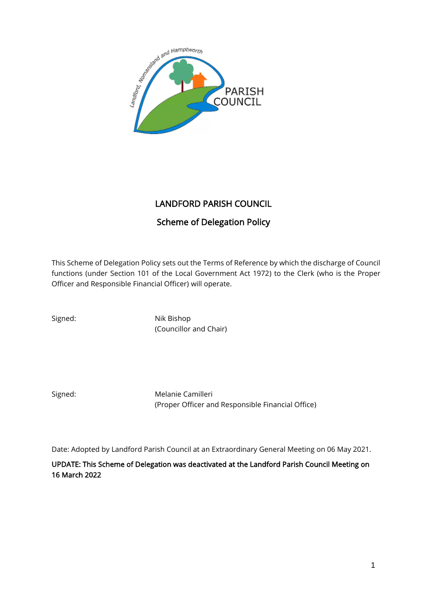

# LANDFORD PARISH COUNCIL

# Scheme of Delegation Policy

This Scheme of Delegation Policy sets out the Terms of Reference by which the discharge of Council functions (under Section 101 of the Local Government Act 1972) to the Clerk (who is the Proper Officer and Responsible Financial Officer) will operate.

Signed: Nik Bishop (Councillor and Chair)

Signed: Melanie Camilleri (Proper Officer and Responsible Financial Office)

Date: Adopted by Landford Parish Council at an Extraordinary General Meeting on 06 May 2021.

UPDATE: This Scheme of Delegation was deactivated at the Landford Parish Council Meeting on 16 March 2022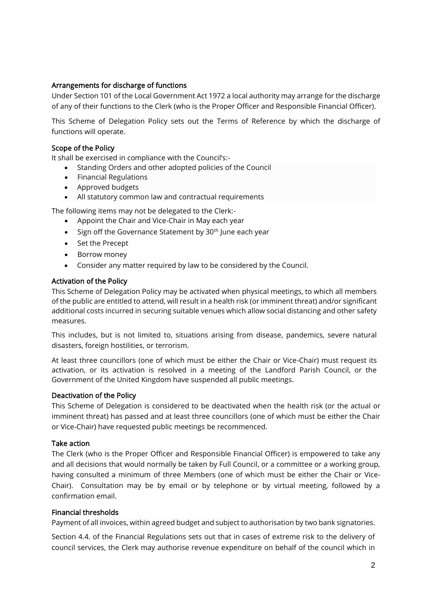# Arrangements for discharge of functions

Under Section 101 of the Local Government Act 1972 a local authority may arrange for the discharge of any of their functions to the Clerk (who is the Proper Officer and Responsible Financial Officer).

This Scheme of Delegation Policy sets out the Terms of Reference by which the discharge of functions will operate.

#### Scope of the Policy

It shall be exercised in compliance with the Council's:-

- Standing Orders and other adopted policies of the Council
- Financial Regulations
- Approved budgets
- All statutory common law and contractual requirements

The following items may not be delegated to the Clerk:-

- Appoint the Chair and Vice-Chair in May each year
- Sign off the Governance Statement by  $30<sup>th</sup>$  lune each year
- Set the Precept
- Borrow money
- Consider any matter required by law to be considered by the Council.

#### Activation of the Policy

This Scheme of Delegation Policy may be activated when physical meetings, to which all members of the public are entitled to attend, will result in a health risk (or imminent threat) and/or significant additional costs incurred in securing suitable venues which allow social distancing and other safety measures.

This includes, but is not limited to, situations arising from disease, pandemics, severe natural disasters, foreign hostilities, or terrorism.

At least three councillors (one of which must be either the Chair or Vice-Chair) must request its activation, or its activation is resolved in a meeting of the Landford Parish Council, or the Government of the United Kingdom have suspended all public meetings.

#### Deactivation of the Policy

This Scheme of Delegation is considered to be deactivated when the health risk (or the actual or imminent threat) has passed and at least three councillors (one of which must be either the Chair or Vice-Chair) have requested public meetings be recommenced.

#### Take action

The Clerk (who is the Proper Officer and Responsible Financial Officer) is empowered to take any and all decisions that would normally be taken by Full Council, or a committee or a working group, having consulted a minimum of three Members (one of which must be either the Chair or Vice-Chair). Consultation may be by email or by telephone or by virtual meeting, followed by a confirmation email.

#### Financial thresholds

Payment of all invoices, within agreed budget and subject to authorisation by two bank signatories.

Section 4.4. of the Financial Regulations sets out that in cases of extreme risk to the delivery of council services, the Clerk may authorise revenue expenditure on behalf of the council which in